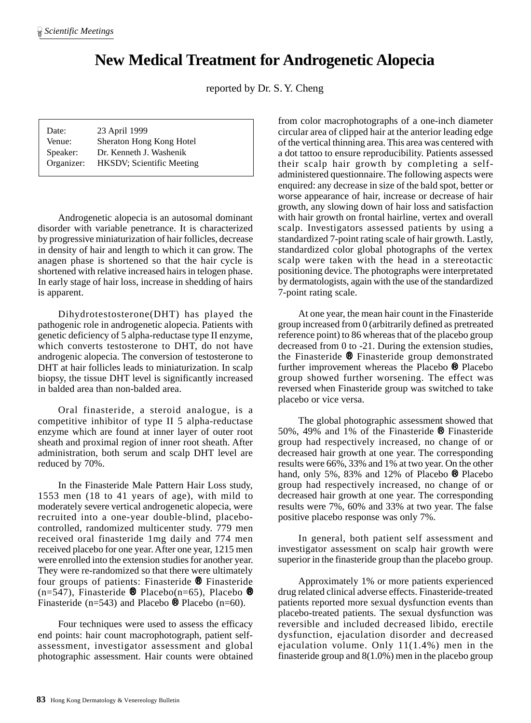## **New Medical Treatment for Androgenetic Alopecia**

reported by Dr. S. Y. Cheng

| Date:      | 23 April 1999                     |
|------------|-----------------------------------|
| Venue:     | Sheraton Hong Kong Hotel          |
| Speaker:   | Dr. Kenneth J. Washenik           |
| Organizer: | <b>HKSDV</b> ; Scientific Meeting |

Androgenetic alopecia is an autosomal dominant disorder with variable penetrance. It is characterized by progressive miniaturization of hair follicles, decrease in density of hair and length to which it can grow. The anagen phase is shortened so that the hair cycle is shortened with relative increased hairs in telogen phase. In early stage of hair loss, increase in shedding of hairs is apparent.

Dihydrotestosterone(DHT) has played the pathogenic role in androgenetic alopecia. Patients with genetic deficiency of 5 alpha-reductase type II enzyme, which converts testosterone to DHT, do not have androgenic alopecia. The conversion of testosterone to DHT at hair follicles leads to miniaturization. In scalp biopsy, the tissue DHT level is significantly increased in balded area than non-balded area.

Oral finasteride, a steroid analogue, is a competitive inhibitor of type II 5 alpha-reductase enzyme which are found at inner layer of outer root sheath and proximal region of inner root sheath. After administration, both serum and scalp DHT level are reduced by 70%.

In the Finasteride Male Pattern Hair Loss study, 1553 men (18 to 41 years of age), with mild to moderately severe vertical androgenetic alopecia, were recruited into a one-year double-blind, placebocontrolled, randomized multicenter study. 779 men received oral finasteride 1mg daily and 774 men received placebo for one year. After one year, 1215 men were enrolled into the extension studies for another year. They were re-randomized so that there were ultimately four groups of patients: Finasteride ® Finasteride (n=547), Finasteride  $\otimes$  Placebo(n=65), Placebo  $\otimes$ Finasteride (n=543) and Placebo  $\otimes$  Placebo (n=60).

Four techniques were used to assess the efficacy end points: hair count macrophotograph, patient selfassessment, investigator assessment and global photographic assessment. Hair counts were obtained from color macrophotographs of a one-inch diameter circular area of clipped hair at the anterior leading edge of the vertical thinning area. This area was centered with a dot tattoo to ensure reproducibility. Patients assessed their scalp hair growth by completing a selfadministered questionnaire. The following aspects were enquired: any decrease in size of the bald spot, better or worse appearance of hair, increase or decrease of hair growth, any slowing down of hair loss and satisfaction with hair growth on frontal hairline, vertex and overall scalp. Investigators assessed patients by using a standardized 7-point rating scale of hair growth. Lastly, standardized color global photographs of the vertex scalp were taken with the head in a stereotactic positioning device. The photographs were interpretated by dermatologists, again with the use of the standardized 7-point rating scale.

At one year, the mean hair count in the Finasteride group increased from 0 (arbitrarily defined as pretreated reference point) to 86 whereas that of the placebo group decreased from 0 to -21. During the extension studies, the Finasteride ® Finasteride group demonstrated further improvement whereas the Placebo ® Placebo group showed further worsening. The effect was reversed when Finasteride group was switched to take placebo or vice versa.

The global photographic assessment showed that 50%, 49% and 1% of the Finasteride ® Finasteride group had respectively increased, no change of or decreased hair growth at one year. The corresponding results were 66%, 33% and 1% at two year. On the other hand, only 5%, 83% and 12% of Placebo ® Placebo group had respectively increased, no change of or decreased hair growth at one year. The corresponding results were 7%, 60% and 33% at two year. The false positive placebo response was only 7%.

In general, both patient self assessment and investigator assessment on scalp hair growth were superior in the finasteride group than the placebo group.

Approximately 1% or more patients experienced drug related clinical adverse effects. Finasteride-treated patients reported more sexual dysfunction events than placebo-treated patients. The sexual dysfunction was reversible and included decreased libido, erectile dysfunction, ejaculation disorder and decreased ejaculation volume. Only 11(1.4%) men in the finasteride group and 8(1.0%) men in the placebo group